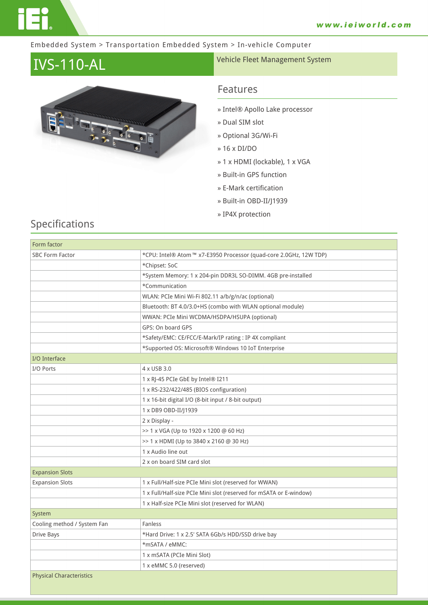### Embedded System > Transportation Embedded System > In-vehicle Computer

# **IVS-110-AL** Vehicle Fleet Management System



#### **Features**

- **» Intel® Apollo Lake processor**
- **» Dual SIM slot**
- **» Optional 3G/Wi-Fi**
- **» 16 x DI/DO**
- **» 1 x HDMI (lockable), 1 x VGA**
- **» Built-in GPS function**
- **» E-Mark certification**
- **» Built-in OBD-II/J1939**
- **» IP4X protection**

| Form factor                     |                                                                    |
|---------------------------------|--------------------------------------------------------------------|
| <b>SBC Form Factor</b>          | *CPU: Intel® Atom ™ x7-E3950 Processor (quad-core 2.0GHz, 12W TDP) |
|                                 | *Chipset: SoC                                                      |
|                                 | *System Memory: 1 x 204-pin DDR3L SO-DIMM. 4GB pre-installed       |
|                                 | *Communication                                                     |
|                                 | WLAN: PCIe Mini Wi-Fi 802.11 a/b/g/n/ac (optional)                 |
|                                 | Bluetooth: BT 4.0/3.0+HS (combo with WLAN optional module)         |
|                                 | WWAN: PCIe Mini WCDMA/HSDPA/HSUPA (optional)                       |
|                                 | GPS: On board GPS                                                  |
|                                 | *Safety/EMC: CE/FCC/E-Mark/IP rating : IP 4X compliant             |
|                                 | *Supported OS: Microsoft® Windows 10 IoT Enterprise                |
| I/O Interface                   |                                                                    |
| <b>I/O Ports</b>                | 4 x USB 3.0                                                        |
|                                 | 1 x RJ-45 PCIe GbE by Intel® I211                                  |
|                                 | 1 x RS-232/422/485 (BIOS configuration)                            |
|                                 | 1 x 16-bit digital I/O (8-bit input / 8-bit output)                |
|                                 | 1 x DB9 OBD-II/J1939                                               |
|                                 | 2 x Display -                                                      |
|                                 | >> 1 x VGA (Up to 1920 x 1200 @ 60 Hz)                             |
|                                 | >> 1 x HDMI (Up to 3840 x 2160 @ 30 Hz)                            |
|                                 | 1 x Audio line out                                                 |
|                                 | 2 x on board SIM card slot                                         |
| <b>Expansion Slots</b>          |                                                                    |
| <b>Expansion Slots</b>          | 1 x Full/Half-size PCIe Mini slot (reserved for WWAN)              |
|                                 | 1 x Full/Half-size PCIe Mini slot (reserved for mSATA or E-window) |
|                                 | 1 x Half-size PCIe Mini slot (reserved for WLAN)                   |
| System                          |                                                                    |
| Cooling method / System Fan     | Fanless                                                            |
| Drive Bays                      | *Hard Drive: 1 x 2.5' SATA 6Gb/s HDD/SSD drive bay                 |
|                                 | *mSATA / eMMC:                                                     |
|                                 | 1 x mSATA (PCIe Mini Slot)                                         |
|                                 | 1 x eMMC 5.0 (reserved)                                            |
| <b>Physical Characteristics</b> |                                                                    |

### **Specifications**